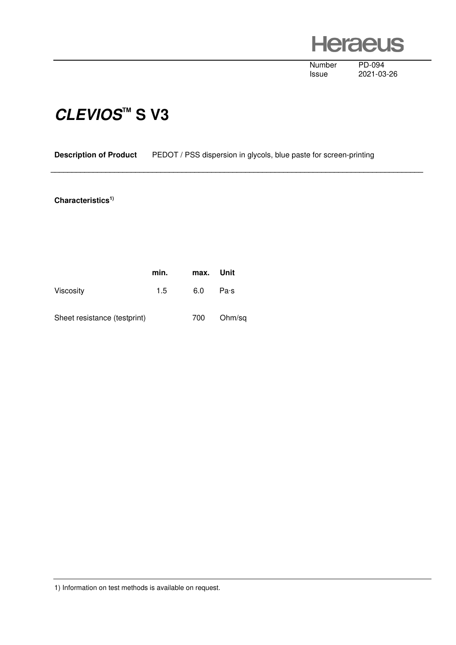**Heraeus** 

Number PD-094<br>Issue 2021-03

2021-03-26

## **CLEVIOS™ S V3**

## **Description of Product** PEDOT / PSS dispersion in glycols, blue paste for screen-printing

 **\_\_\_\_\_\_\_\_\_\_\_\_\_\_\_\_\_\_\_\_\_\_\_\_\_\_\_\_\_\_\_\_\_\_\_\_\_\_\_\_\_\_\_\_\_\_\_\_\_\_\_\_\_\_\_\_\_\_\_\_\_\_\_\_\_\_\_\_\_\_\_\_\_\_\_\_\_\_\_\_\_\_\_\_\_\_\_\_** 

## **Characteristics1)**

|                              | min. | max. Unit |        |
|------------------------------|------|-----------|--------|
| <b>Viscosity</b>             | 1.5  | 6.0       | Pa·s   |
| Sheet resistance (testprint) |      | 700       | Ohm/sq |

1) Information on test methods is available on request.